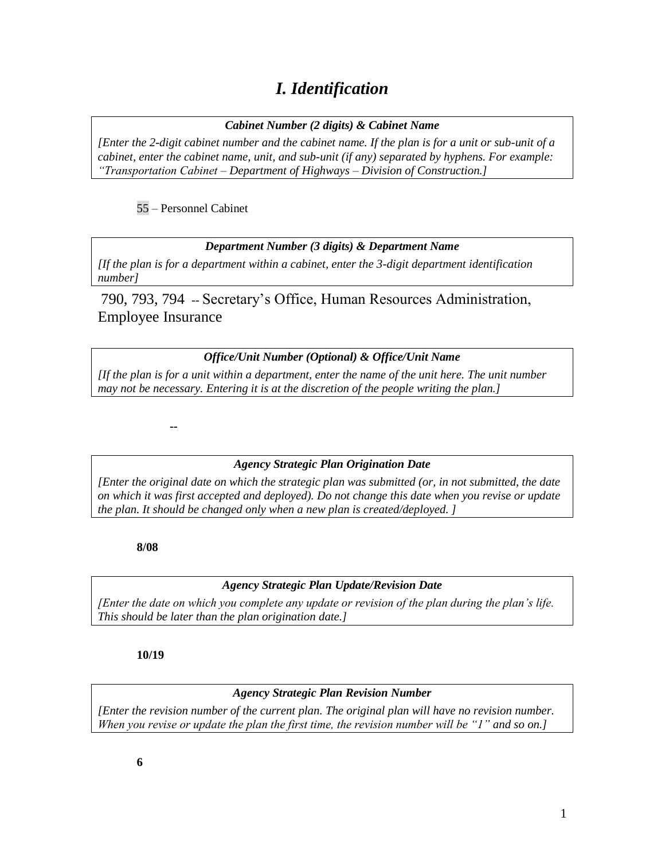## *I. Identification*

#### *Cabinet Number (2 digits) & Cabinet Name*

*[Enter the 2-digit cabinet number and the cabinet name. If the plan is for a unit or sub-unit of a cabinet, enter the cabinet name, unit, and sub-unit (if any) separated by hyphens. For example: "Transportation Cabinet – Department of Highways – Division of Construction.]*

#### 55 – Personnel Cabinet

#### *Department Number (3 digits) & Department Name*

*[If the plan is for a department within a cabinet, enter the 3-digit department identification number]*

790, 793, 794 -- Secretary's Office, Human Resources Administration, Employee Insurance

#### *Office/Unit Number (Optional) & Office/Unit Name*

*[If the plan is for a unit within a department, enter the name of the unit here. The unit number may not be necessary. Entering it is at the discretion of the people writing the plan.]*

**--**

#### *Agency Strategic Plan Origination Date*

*[Enter the original date on which the strategic plan was submitted (or, in not submitted, the date on which it was first accepted and deployed). Do not change this date when you revise or update the plan. It should be changed only when a new plan is created/deployed. ]*

**8/08**

#### *Agency Strategic Plan Update/Revision Date*

*[Enter the date on which you complete any update or revision of the plan during the plan's life. This should be later than the plan origination date.]*

**10/19**

#### *Agency Strategic Plan Revision Number*

*[Enter the revision number of the current plan. The original plan will have no revision number. When you revise or update the plan the first time, the revision number will be "1" and so on.]*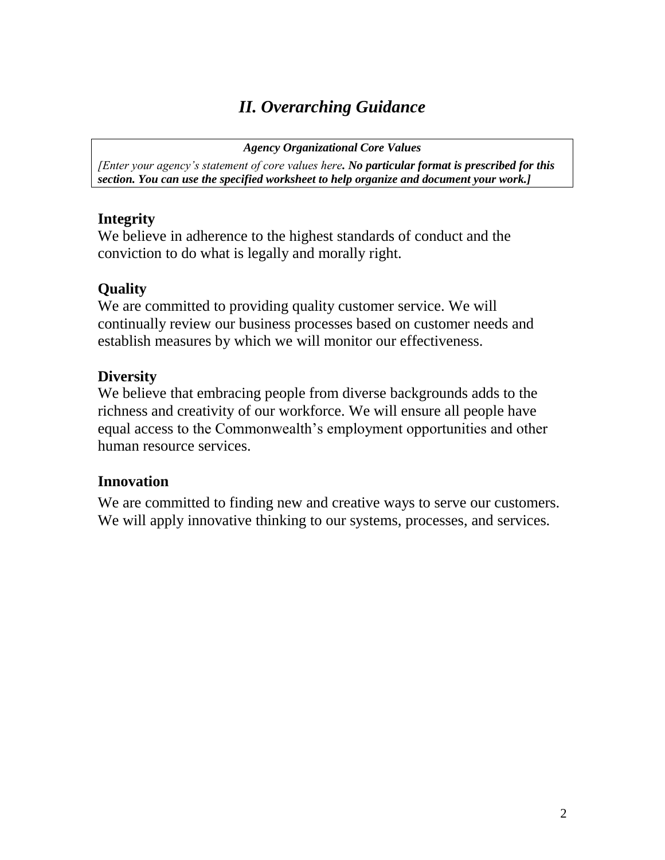# *II. Overarching Guidance*

*Agency Organizational Core Values*

*[Enter your agency's statement of core values here. No particular format is prescribed for this section. You can use the specified worksheet to help organize and document your work.]*

### **Integrity**

We believe in adherence to the highest standards of conduct and the conviction to do what is legally and morally right.

## **Quality**

We are committed to providing quality customer service. We will continually review our business processes based on customer needs and establish measures by which we will monitor our effectiveness.

### **Diversity**

We believe that embracing people from diverse backgrounds adds to the richness and creativity of our workforce. We will ensure all people have equal access to the Commonwealth's employment opportunities and other human resource services.

### **Innovation**

We are committed to finding new and creative ways to serve our customers. We will apply innovative thinking to our systems, processes, and services.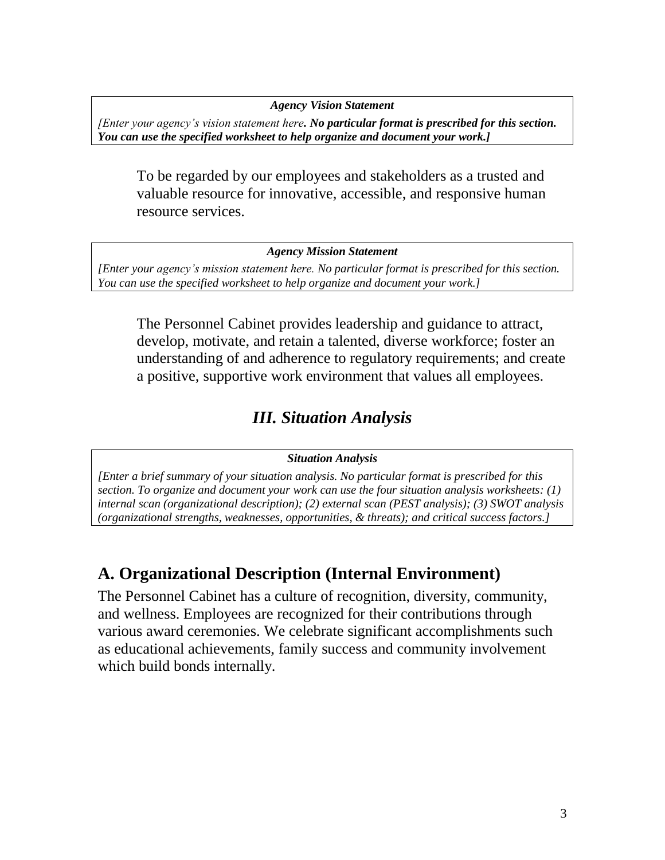*Agency Vision Statement*

*[Enter your agency's vision statement here. No particular format is prescribed for this section. You can use the specified worksheet to help organize and document your work.]*

To be regarded by our employees and stakeholders as a trusted and valuable resource for innovative, accessible, and responsive human resource services.

*Agency Mission Statement*

*[Enter your agency's mission statement here. No particular format is prescribed for this section. You can use the specified worksheet to help organize and document your work.]*

The Personnel Cabinet provides leadership and guidance to attract, develop, motivate, and retain a talented, diverse workforce; foster an understanding of and adherence to regulatory requirements; and create a positive, supportive work environment that values all employees.

## *III. Situation Analysis*

#### *Situation Analysis*

*[Enter a brief summary of your situation analysis. No particular format is prescribed for this section. To organize and document your work can use the four situation analysis worksheets: (1) internal scan (organizational description); (2) external scan (PEST analysis); (3) SWOT analysis (organizational strengths, weaknesses, opportunities, & threats); and critical success factors.]*

## **A. Organizational Description (Internal Environment)**

The Personnel Cabinet has a culture of recognition, diversity, community, and wellness. Employees are recognized for their contributions through various award ceremonies. We celebrate significant accomplishments such as educational achievements, family success and community involvement which build bonds internally.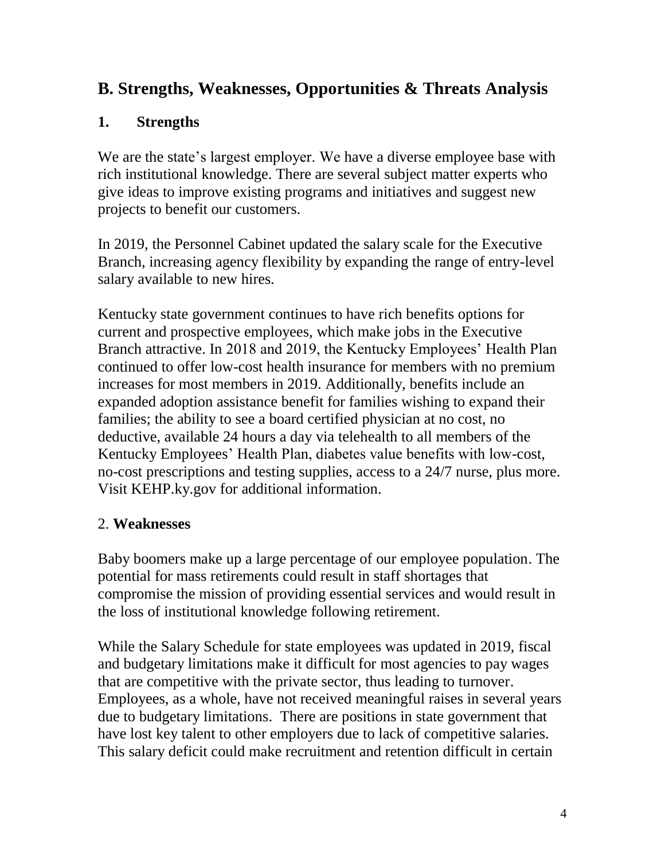## **B. Strengths, Weaknesses, Opportunities & Threats Analysis**

### **1. Strengths**

We are the state's largest employer. We have a diverse employee base with rich institutional knowledge. There are several subject matter experts who give ideas to improve existing programs and initiatives and suggest new projects to benefit our customers.

In 2019, the Personnel Cabinet updated the salary scale for the Executive Branch, increasing agency flexibility by expanding the range of entry-level salary available to new hires.

Kentucky state government continues to have rich benefits options for current and prospective employees, which make jobs in the Executive Branch attractive. In 2018 and 2019, the Kentucky Employees' Health Plan continued to offer low-cost health insurance for members with no premium increases for most members in 2019. Additionally, benefits include an expanded adoption assistance benefit for families wishing to expand their families; the ability to see a board certified physician at no cost, no deductive, available 24 hours a day via telehealth to all members of the Kentucky Employees' Health Plan, diabetes value benefits with low-cost, no-cost prescriptions and testing supplies, access to a 24/7 nurse, plus more. Visit KEHP.ky.gov for additional information.

### 2. **Weaknesses**

Baby boomers make up a large percentage of our employee population. The potential for mass retirements could result in staff shortages that compromise the mission of providing essential services and would result in the loss of institutional knowledge following retirement.

While the Salary Schedule for state employees was updated in 2019, fiscal and budgetary limitations make it difficult for most agencies to pay wages that are competitive with the private sector, thus leading to turnover. Employees, as a whole, have not received meaningful raises in several years due to budgetary limitations. There are positions in state government that have lost key talent to other employers due to lack of competitive salaries. This salary deficit could make recruitment and retention difficult in certain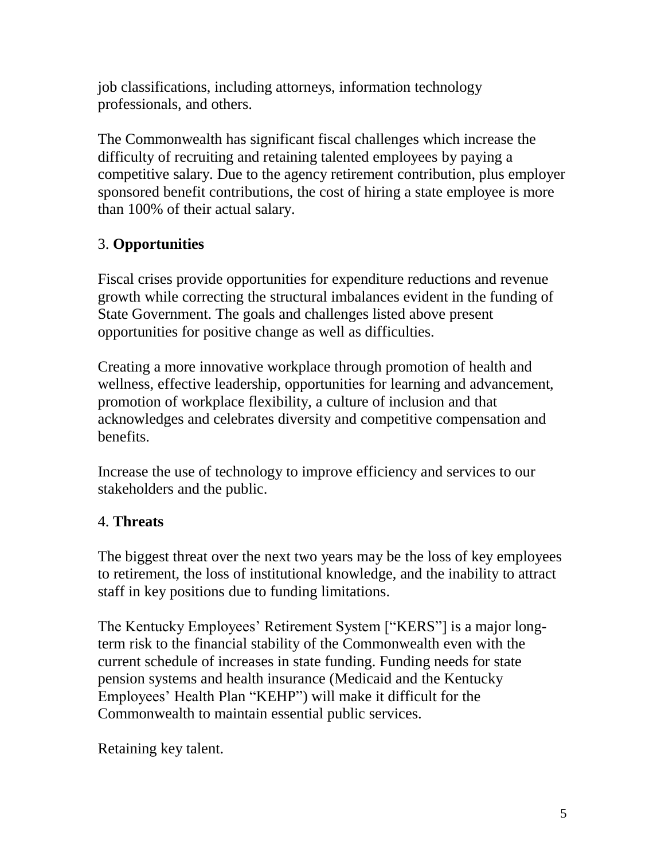job classifications, including attorneys, information technology professionals, and others.

The Commonwealth has significant fiscal challenges which increase the difficulty of recruiting and retaining talented employees by paying a competitive salary. Due to the agency retirement contribution, plus employer sponsored benefit contributions, the cost of hiring a state employee is more than 100% of their actual salary.

## 3. **Opportunities**

Fiscal crises provide opportunities for expenditure reductions and revenue growth while correcting the structural imbalances evident in the funding of State Government. The goals and challenges listed above present opportunities for positive change as well as difficulties.

Creating a more innovative workplace through promotion of health and wellness, effective leadership, opportunities for learning and advancement, promotion of workplace flexibility, a culture of inclusion and that acknowledges and celebrates diversity and competitive compensation and benefits.

Increase the use of technology to improve efficiency and services to our stakeholders and the public.

### 4. **Threats**

The biggest threat over the next two years may be the loss of key employees to retirement, the loss of institutional knowledge, and the inability to attract staff in key positions due to funding limitations.

The Kentucky Employees' Retirement System ["KERS"] is a major longterm risk to the financial stability of the Commonwealth even with the current schedule of increases in state funding. Funding needs for state pension systems and health insurance (Medicaid and the Kentucky Employees' Health Plan "KEHP") will make it difficult for the Commonwealth to maintain essential public services.

Retaining key talent.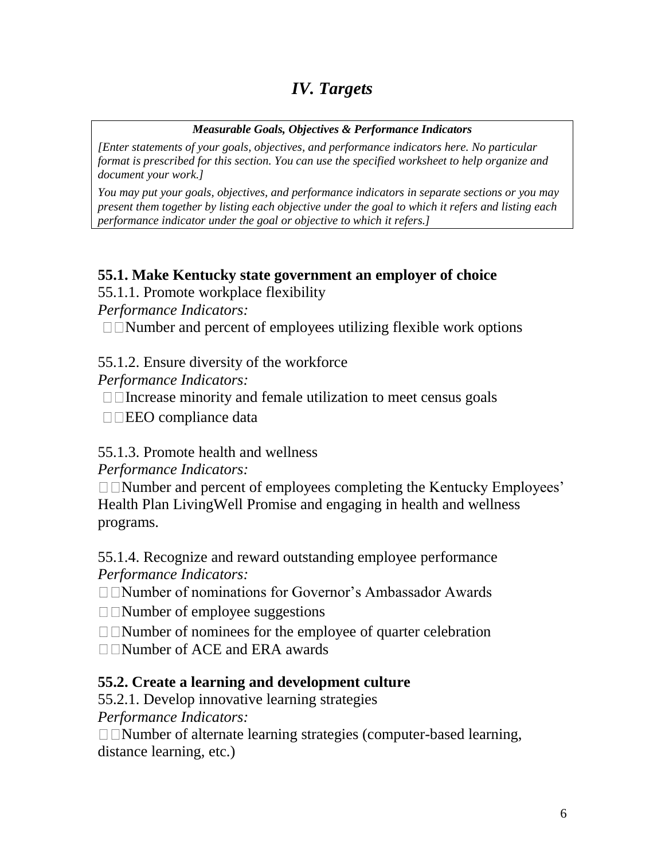# *IV. Targets*

#### *Measurable Goals, Objectives & Performance Indicators*

*[Enter statements of your goals, objectives, and performance indicators here. No particular format is prescribed for this section. You can use the specified worksheet to help organize and document your work.]*

*You may put your goals, objectives, and performance indicators in separate sections or you may present them together by listing each objective under the goal to which it refers and listing each performance indicator under the goal or objective to which it refers.]*

### **55.1. Make Kentucky state government an employer of choice**

55.1.1. Promote workplace flexibility

*Performance Indicators:* 

 $\Box$   $\Box$   $\Box$   $\Box$   $\Diamond$   $\Diamond$   $\Diamond$  and percent of employees utilizing flexible work options

55.1.2. Ensure diversity of the workforce

*Performance Indicators:* 

 $\Box$  Increase minority and female utilization to meet census goals

 $\square \square$ EEO compliance data

### 55.1.3. Promote health and wellness

*Performance Indicators:* 

 $\Box$   $\Box$   $\Box$   $\Box$   $\Box$   $\Diamond$   $\Diamond$   $\Diamond$  and percent of employees completing the Kentucky Employees' Health Plan LivingWell Promise and engaging in health and wellness programs.

55.1.4. Recognize and reward outstanding employee performance *Performance Indicators:* 

□□Number of nominations for Governor's Ambassador Awards

 $\Box$  Number of employee suggestions

Number of nominees for the employee of quarter celebration

 $\Box$  Number of ACE and ERA awards

### **55.2. Create a learning and development culture**

55.2.1. Develop innovative learning strategies

*Performance Indicators:* 

 $\Box$   $\Box$  Number of alternate learning strategies (computer-based learning, distance learning, etc.)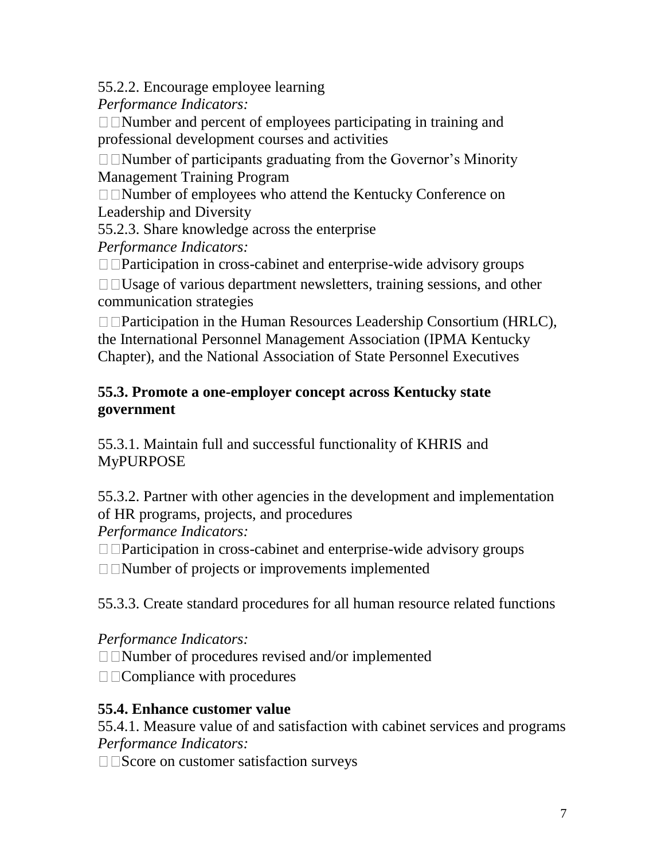55.2.2. Encourage employee learning

*Performance Indicators:* 

 $\Box$   $\Box$   $\Box$   $\Box$   $\Box$   $\Diamond$   $\Diamond$  and percent of employees participating in training and professional development courses and activities

 $\Box$   $\Box$  Number of participants graduating from the Governor's Minority Management Training Program

□□Number of employees who attend the Kentucky Conference on Leadership and Diversity

55.2.3. Share knowledge across the enterprise *Performance Indicators:* 

□□Participation in cross-cabinet and enterprise-wide advisory groups

 $\Box$   $\Box$  Usage of various department newsletters, training sessions, and other communication strategies

 $\Box$  Participation in the Human Resources Leadership Consortium (HRLC), the International Personnel Management Association (IPMA Kentucky Chapter), and the National Association of State Personnel Executives

### **55.3. Promote a one-employer concept across Kentucky state government**

55.3.1. Maintain full and successful functionality of KHRIS and MyPURPOSE

55.3.2. Partner with other agencies in the development and implementation of HR programs, projects, and procedures

*Performance Indicators:* 

 $\Box$  Participation in cross-cabinet and enterprise-wide advisory groups

Number of projects or improvements implemented

55.3.3. Create standard procedures for all human resource related functions

*Performance Indicators:* 

□□Number of procedures revised and/or implemented

 $\Box$  Compliance with procedures

### **55.4. Enhance customer value**

55.4.1. Measure value of and satisfaction with cabinet services and programs *Performance Indicators:* 

 $\square$   $\square$  Score on customer satisfaction surveys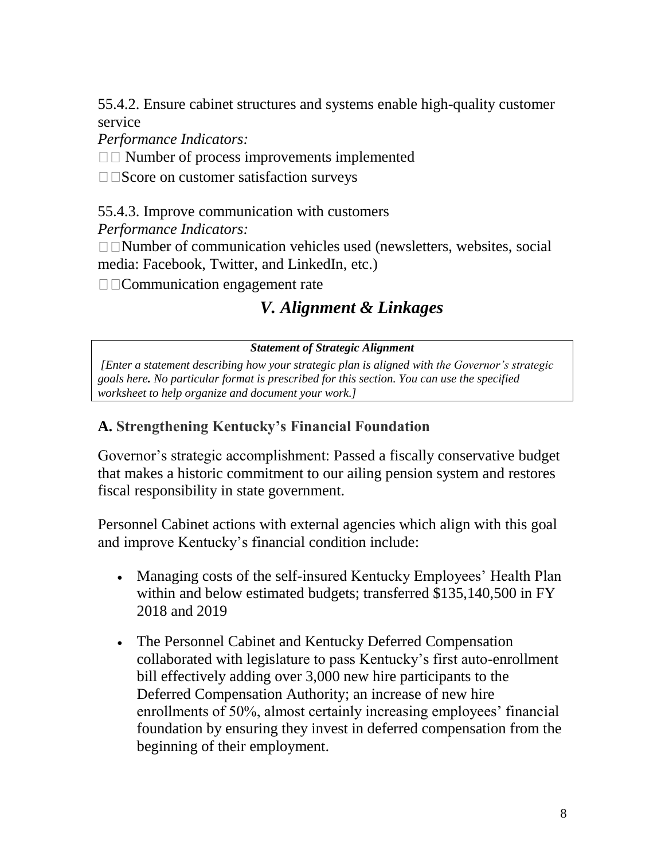55.4.2. Ensure cabinet structures and systems enable high-quality customer service

*Performance Indicators:* 

 $\square$  Number of process improvements implemented

 $\square$   $\square$ Score on customer satisfaction surveys

55.4.3. Improve communication with customers

*Performance Indicators:* 

 $\Box$   $\Box$  Number of communication vehicles used (newsletters, websites, social media: Facebook, Twitter, and LinkedIn, etc.)

Communication engagement rate

# *V. Alignment & Linkages*

#### *Statement of Strategic Alignment*

*[Enter a statement describing how your strategic plan is aligned with the Governor's strategic goals here. No particular format is prescribed for this section. You can use the specified worksheet to help organize and document your work.]*

### **A. Strengthening Kentucky's Financial Foundation**

Governor's strategic accomplishment: Passed a fiscally conservative budget that makes a historic commitment to our ailing pension system and restores fiscal responsibility in state government.

Personnel Cabinet actions with external agencies which align with this goal and improve Kentucky's financial condition include:

- Managing costs of the self-insured Kentucky Employees' Health Plan within and below estimated budgets; transferred \$135,140,500 in FY 2018 and 2019
- The Personnel Cabinet and Kentucky Deferred Compensation collaborated with legislature to pass Kentucky's first auto-enrollment bill effectively adding over 3,000 new hire participants to the Deferred Compensation Authority; an increase of new hire enrollments of 50%, almost certainly increasing employees' financial foundation by ensuring they invest in deferred compensation from the beginning of their employment.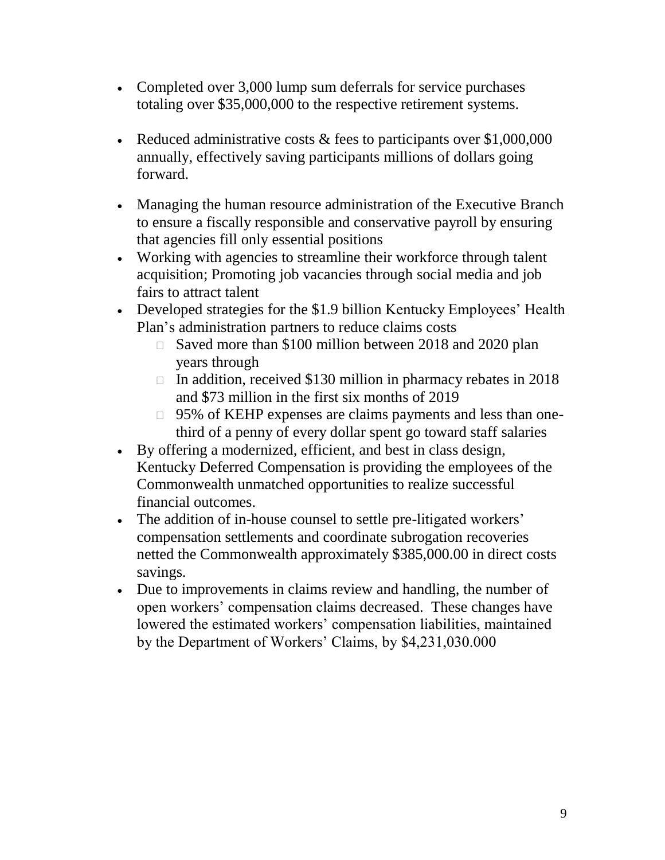- Completed over 3,000 lump sum deferrals for service purchases totaling over \$35,000,000 to the respective retirement systems.
- Exercise administrative costs  $\&$  fees to participants over \$1,000,000  $\bullet$ annually, effectively saving participants millions of dollars going forward.
- Managing the human resource administration of the Executive Branch to ensure a fiscally responsible and conservative payroll by ensuring that agencies fill only essential positions
- Working with agencies to streamline their workforce through talent acquisition; Promoting job vacancies through social media and job fairs to attract talent
- Developed strategies for the \$1.9 billion Kentucky Employees' Health Plan's administration partners to reduce claims costs
	- □ Saved more than \$100 million between 2018 and 2020 plan years through
	- $\Box$  In addition, received \$130 million in pharmacy rebates in 2018 and \$73 million in the first six months of 2019
	- 95% of KEHP expenses are claims payments and less than onethird of a penny of every dollar spent go toward staff salaries
- By offering a modernized, efficient, and best in class design, Kentucky Deferred Compensation is providing the employees of the Commonwealth unmatched opportunities to realize successful financial outcomes.
- The addition of in-house counsel to settle pre-litigated workers' compensation settlements and coordinate subrogation recoveries netted the Commonwealth approximately \$385,000.00 in direct costs savings.
- Due to improvements in claims review and handling, the number of open workers' compensation claims decreased. These changes have lowered the estimated workers' compensation liabilities, maintained by the Department of Workers' Claims, by \$4,231,030.000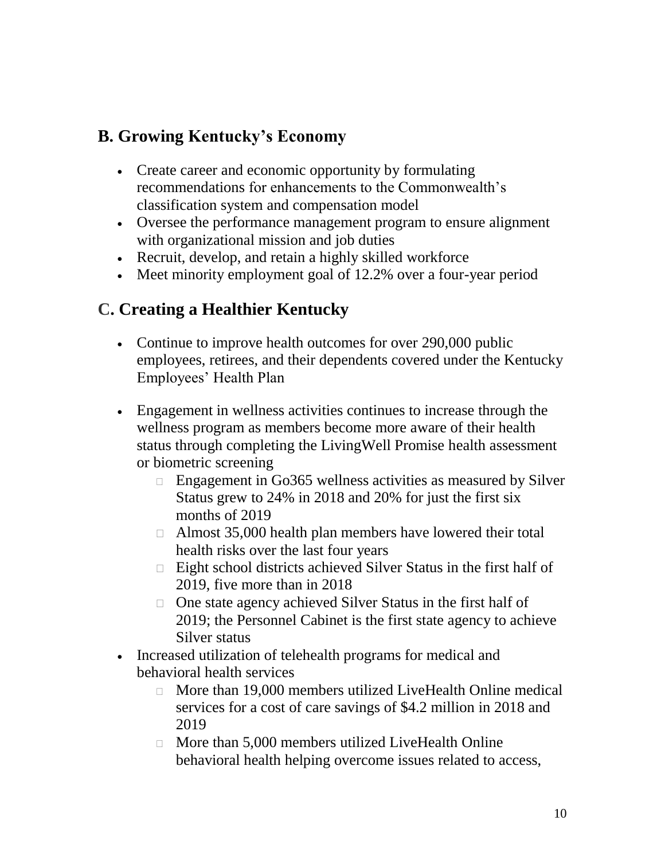## **B. Growing Kentucky's Economy**

- Create career and economic opportunity by formulating recommendations for enhancements to the Commonwealth's classification system and compensation model
- Oversee the performance management program to ensure alignment with organizational mission and job duties
- Recruit, develop, and retain a highly skilled workforce
- Meet minority employment goal of 12.2% over a four-year period

# **C. Creating a Healthier Kentucky**

- Continue to improve health outcomes for over 290,000 public employees, retirees, and their dependents covered under the Kentucky Employees' Health Plan
- Engagement in wellness activities continues to increase through the wellness program as members become more aware of their health status through completing the LivingWell Promise health assessment or biometric screening
	- $\Box$  Engagement in Go365 wellness activities as measured by Silver Status grew to 24% in 2018 and 20% for just the first six months of 2019
	- Almost 35,000 health plan members have lowered their total health risks over the last four years
	- $\Box$  Eight school districts achieved Silver Status in the first half of 2019, five more than in 2018
	- □ One state agency achieved Silver Status in the first half of 2019; the Personnel Cabinet is the first state agency to achieve Silver status
- Increased utilization of telehealth programs for medical and behavioral health services
	- □ More than 19,000 members utilized LiveHealth Online medical services for a cost of care savings of \$4.2 million in 2018 and 2019
	- $\Box$  More than 5,000 members utilized LiveHealth Online behavioral health helping overcome issues related to access,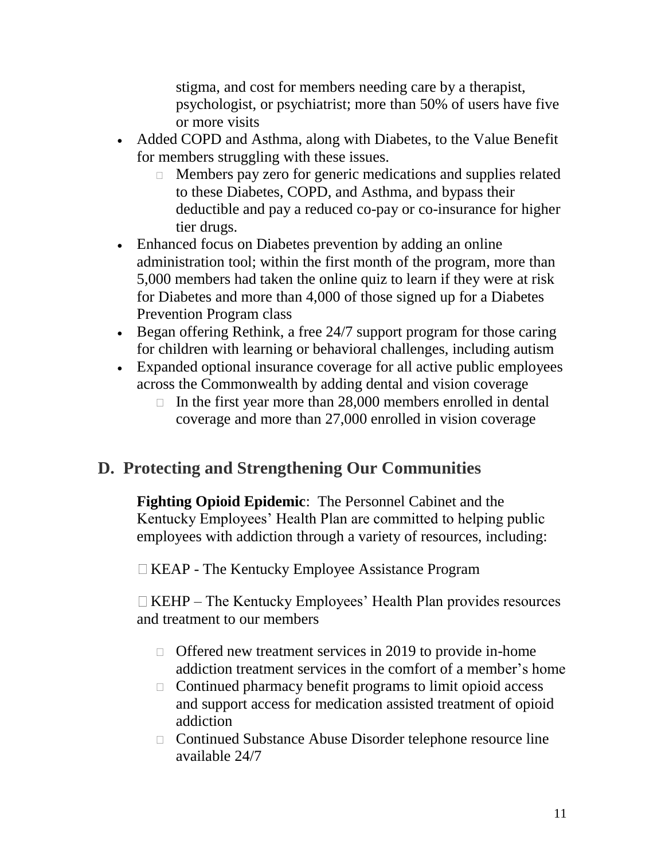stigma, and cost for members needing care by a therapist, psychologist, or psychiatrist; more than 50% of users have five or more visits

- Added COPD and Asthma, along with Diabetes, to the Value Benefit for members struggling with these issues.
	- Members pay zero for generic medications and supplies related to these Diabetes, COPD, and Asthma, and bypass their deductible and pay a reduced co-pay or co-insurance for higher tier drugs.
- Enhanced focus on Diabetes prevention by adding an online administration tool; within the first month of the program, more than 5,000 members had taken the online quiz to learn if they were at risk for Diabetes and more than 4,000 of those signed up for a Diabetes Prevention Program class
- Began offering Rethink, a free 24/7 support program for those caring for children with learning or behavioral challenges, including autism
- Expanded optional insurance coverage for all active public employees across the Commonwealth by adding dental and vision coverage
	- $\Box$  In the first year more than 28,000 members enrolled in dental coverage and more than 27,000 enrolled in vision coverage

# **D. Protecting and Strengthening Our Communities**

**Fighting Opioid Epidemic**: The Personnel Cabinet and the Kentucky Employees' Health Plan are committed to helping public employees with addiction through a variety of resources, including:

KEAP - The Kentucky Employee Assistance Program

 $\Box$  KEHP – The Kentucky Employees' Health Plan provides resources and treatment to our members

- $\Box$  Offered new treatment services in 2019 to provide in-home addiction treatment services in the comfort of a member's home
- $\Box$  Continued pharmacy benefit programs to limit opioid access and support access for medication assisted treatment of opioid addiction
- Continued Substance Abuse Disorder telephone resource line available 24/7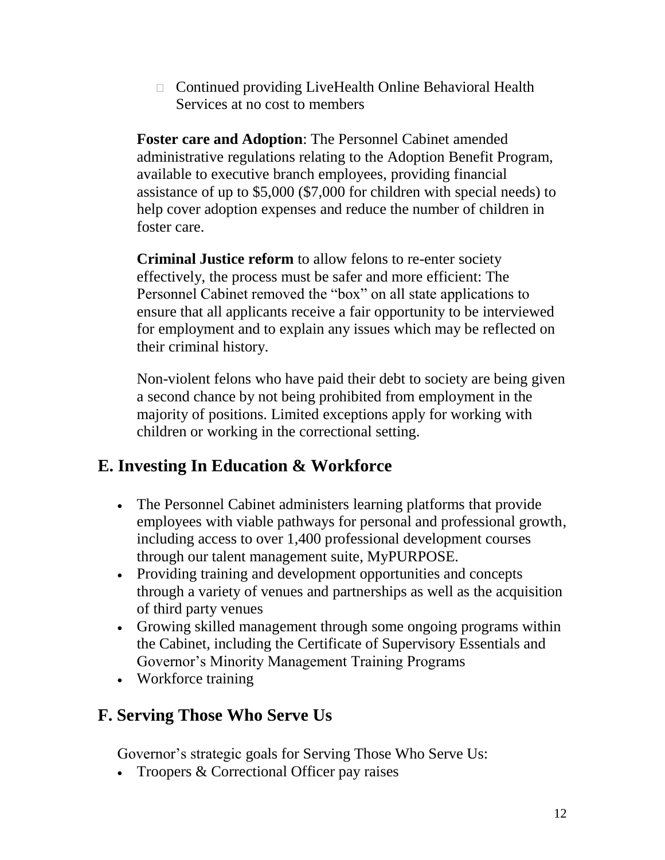□ Continued providing LiveHealth Online Behavioral Health Services at no cost to members

**Foster care and Adoption**: The Personnel Cabinet amended administrative regulations relating to the Adoption Benefit Program, available to executive branch employees, providing financial assistance of up to \$5,000 (\$7,000 for children with special needs) to help cover adoption expenses and reduce the number of children in foster care.

**Criminal Justice reform** to allow felons to re-enter society effectively, the process must be safer and more efficient: The Personnel Cabinet removed the "box" on all state applications to ensure that all applicants receive a fair opportunity to be interviewed for employment and to explain any issues which may be reflected on their criminal history.

Non-violent felons who have paid their debt to society are being given a second chance by not being prohibited from employment in the majority of positions. Limited exceptions apply for working with children or working in the correctional setting.

# **E. [Investing In Education & Workforce](http://governor.ky.gov/priorities/#education-workforce)**

- The Personnel Cabinet administers learning platforms that provide employees with viable pathways for personal and professional growth, including access to over 1,400 professional development courses through our talent management suite, MyPURPOSE.
- Providing training and development opportunities and concepts through a variety of venues and partnerships as well as the acquisition of third party venues
- Growing skilled management through some ongoing programs within the Cabinet, including the Certificate of Supervisory Essentials and Governor's Minority Management Training Programs
- Workforce training

# **F. [Serving Those Who Serve Us](http://governor.ky.gov/priorities/#serving-others)**

Governor's strategic goals for [Serving Those Who Serve Us:](http://governor.ky.gov/priorities/#serving-others)

• Troopers & Correctional Officer pay raises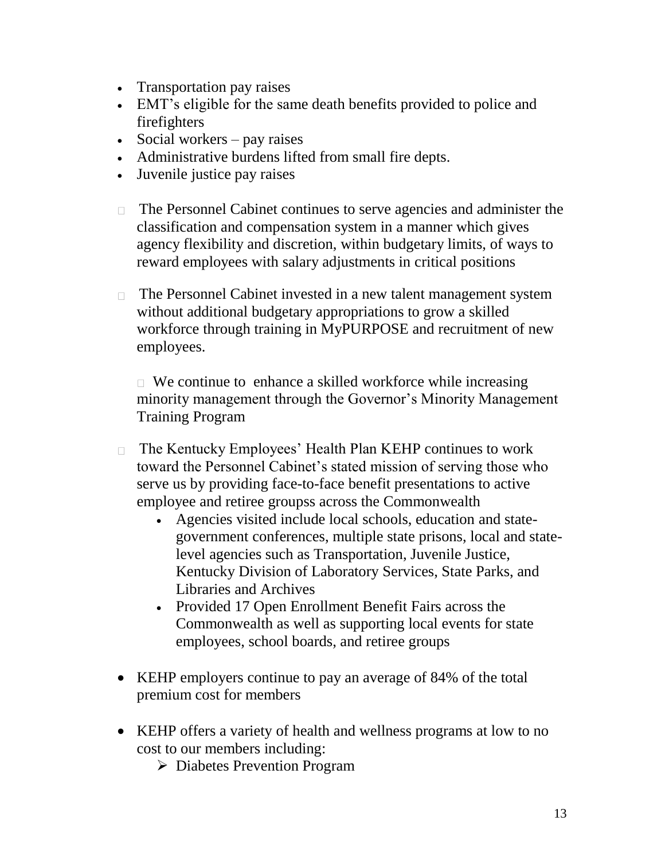- Transportation pay raises
- EMT's eligible for the same death benefits provided to police and firefighters
- Social workers pay raises
- Administrative burdens lifted from small fire depts.
- Juvenile justice pay raises
- The Personnel Cabinet continues to serve agencies and administer the classification and compensation system in a manner which gives agency flexibility and discretion, within budgetary limits, of ways to reward employees with salary adjustments in critical positions
- The Personnel Cabinet invested in a new talent management system without additional budgetary appropriations to grow a skilled workforce through training in MyPURPOSE and recruitment of new employees.

 $\Box$  We continue to enhance a skilled workforce while increasing minority management through the Governor's Minority Management Training Program

- □ The Kentucky Employees' Health Plan KEHP continues to work toward the Personnel Cabinet's stated mission of serving those who serve us by providing face-to-face benefit presentations to active employee and retiree groupss across the Commonwealth
	- Agencies visited include local schools, education and stategovernment conferences, multiple state prisons, local and statelevel agencies such as Transportation, Juvenile Justice, Kentucky Division of Laboratory Services, State Parks, and Libraries and Archives
	- Provided 17 Open Enrollment Benefit Fairs across the Commonwealth as well as supporting local events for state employees, school boards, and retiree groups
- KEHP employers continue to pay an average of 84% of the total premium cost for members
- KEHP offers a variety of health and wellness programs at low to no cost to our members including:
	- Diabetes Prevention Program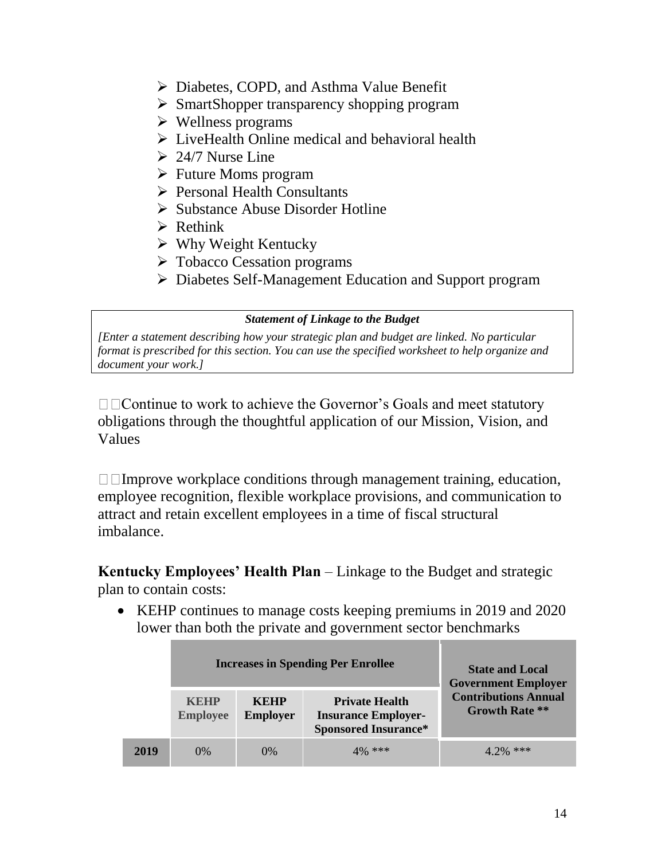- Diabetes, COPD, and Asthma Value Benefit
- SmartShopper transparency shopping program
- $\triangleright$  Wellness programs
- $\triangleright$  LiveHealth Online medical and behavioral health
- $\geq 24/7$  Nurse Line
- $\triangleright$  Future Moms program
- **Personal Health Consultants**
- $\triangleright$  Substance Abuse Disorder Hotline
- $\triangleright$  Rethink
- $\triangleright$  Why Weight Kentucky
- Tobacco Cessation programs
- Diabetes Self-Management Education and Support program

#### *Statement of Linkage to the Budget*

*[Enter a statement describing how your strategic plan and budget are linked. No particular format is prescribed for this section. You can use the specified worksheet to help organize and document your work.]*

□□ Continue to work to achieve the Governor's Goals and meet statutory obligations through the thoughtful application of our Mission, Vision, and Values

 $\Box$  Improve workplace conditions through management training, education, employee recognition, flexible workplace provisions, and communication to attract and retain excellent employees in a time of fiscal structural imbalance.

**Kentucky Employees' Health Plan** – Linkage to the Budget and strategic plan to contain costs:

• KEHP continues to manage costs keeping premiums in 2019 and 2020 lower than both the private and government sector benchmarks

|      |                                | <b>Increases in Spending Per Enrollee</b> | <b>State and Local</b><br><b>Government Employer</b>                               |                                                      |
|------|--------------------------------|-------------------------------------------|------------------------------------------------------------------------------------|------------------------------------------------------|
|      | <b>KEHP</b><br><b>Employee</b> | <b>KEHP</b><br><b>Employer</b>            | <b>Private Health</b><br><b>Insurance Employer-</b><br><b>Sponsored Insurance*</b> | <b>Contributions Annual</b><br><b>Growth Rate **</b> |
| 2019 | $0\%$                          | $0\%$                                     | $10/6$ ***                                                                         | $4.7\%$ ***                                          |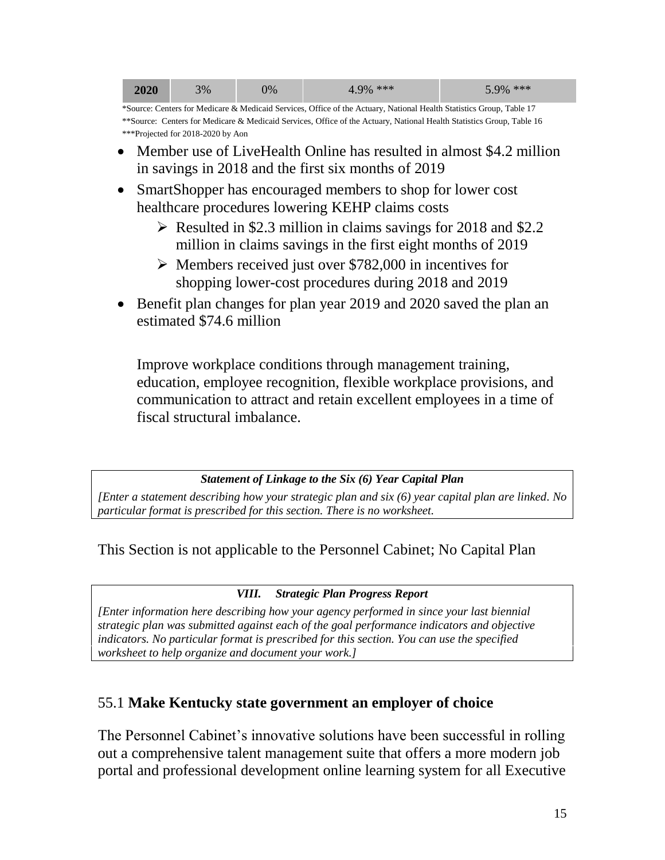| 2020 | 3% | 0% | $+9\%$ *** | 5.9% *** |
|------|----|----|------------|----------|
|------|----|----|------------|----------|

\*Source: Centers for Medicare & Medicaid Services, Office of the Actuary, National Health Statistics Group, Table 17 \*\*Source: Centers for Medicare & Medicaid Services, Office of the Actuary, National Health Statistics Group, Table 16 \*\*\*Projected for 2018-2020 by Aon

- Member use of LiveHealth Online has resulted in almost \$4.2 million in savings in 2018 and the first six months of 2019
- SmartShopper has encouraged members to shop for lower cost healthcare procedures lowering KEHP claims costs
	- $\triangleright$  Resulted in \$2.3 million in claims savings for 2018 and \$2.2 million in claims savings in the first eight months of 2019
	- Members received just over \$782,000 in incentives for shopping lower-cost procedures during 2018 and 2019
- Benefit plan changes for plan year 2019 and 2020 saved the plan an estimated \$74.6 million

Improve workplace conditions through management training, education, employee recognition, flexible workplace provisions, and communication to attract and retain excellent employees in a time of fiscal structural imbalance.

#### *Statement of Linkage to the Six (6) Year Capital Plan*

*[Enter a statement describing how your strategic plan and six (6) year capital plan are linked. No particular format is prescribed for this section. There is no worksheet.*

This Section is not applicable to the Personnel Cabinet; No Capital Plan

#### *VIII. Strategic Plan Progress Report*

*[Enter information here describing how your agency performed in since your last biennial strategic plan was submitted against each of the goal performance indicators and objective indicators. No particular format is prescribed for this section. You can use the specified worksheet to help organize and document your work.]*

### 55.1 **Make Kentucky state government an employer of choice**

The Personnel Cabinet's innovative solutions have been successful in rolling out a comprehensive talent management suite that offers a more modern job portal and professional development online learning system for all Executive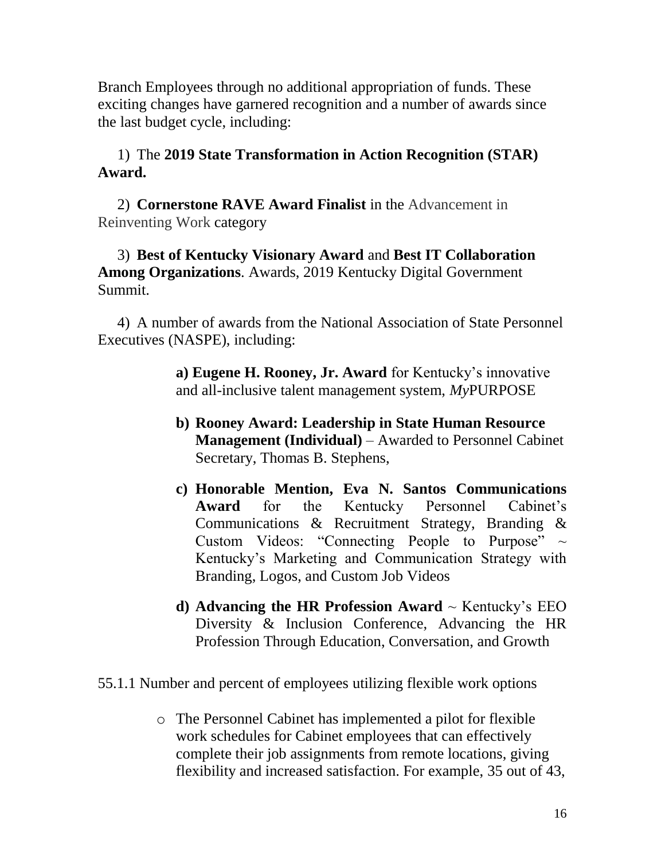Branch Employees through no additional appropriation of funds. These exciting changes have garnered recognition and a number of awards since the last budget cycle, including:

### 1) The **[2019 State Transformation in Action Recognition \(STAR\)](https://urldefense.proofpoint.com/v2/url?u=http-3A__slcatlanta.org_STAR_&d=DwMFAg&c=jvUANN7rYqzaQJvTqI-69lgi41yDEZ3CXTgIEaHlx7c&r=On_lzPX3ZipeFI7DK58hh99iPeTmepzfRGdRfuSUAQk&m=4zOBob0g19pMYQ8ud6VPEB8nQSFvUE8zDG2P70kFVZA&s=56fupYapXBKyKaoIiKZKOnRyd1kFpx1P5jCHOUYyKko&e=)  [Award.](https://urldefense.proofpoint.com/v2/url?u=http-3A__slcatlanta.org_STAR_&d=DwMFAg&c=jvUANN7rYqzaQJvTqI-69lgi41yDEZ3CXTgIEaHlx7c&r=On_lzPX3ZipeFI7DK58hh99iPeTmepzfRGdRfuSUAQk&m=4zOBob0g19pMYQ8ud6VPEB8nQSFvUE8zDG2P70kFVZA&s=56fupYapXBKyKaoIiKZKOnRyd1kFpx1P5jCHOUYyKko&e=)**

2) **Cornerstone RAVE Award Finalist** in the Advancement in Reinventing Work category

#### 3) **Best of Kentucky Visionary Award** and **Best IT Collaboration Among Organizations**. Awards, 2019 Kentucky Digital Government Summit.

4) A number of awards from the National Association of State Personnel Executives (NASPE), including:

> **a) Eugene H. Rooney, Jr. Award** for Kentucky's innovative and all-inclusive talent management system, *My*PURPOSE

- **b) Rooney Award: Leadership in State Human Resource Management (Individual)** – Awarded to Personnel Cabinet Secretary, Thomas B. Stephens,
- **c) Honorable Mention, Eva N. Santos Communications Award** for the Kentucky Personnel Cabinet's Communications & Recruitment Strategy, Branding & Custom Videos: "Connecting People to Purpose"  $\sim$ Kentucky's Marketing and Communication Strategy with Branding, Logos, and Custom Job Videos
- **d) Advancing the HR Profession Award**  $\sim$  Kentucky's EEO Diversity & Inclusion Conference, Advancing the HR Profession Through Education, Conversation, and Growth
- 55.1.1 Number and percent of employees utilizing flexible work options
	- o The Personnel Cabinet has implemented a pilot for flexible work schedules for Cabinet employees that can effectively complete their job assignments from remote locations, giving flexibility and increased satisfaction. For example, 35 out of 43,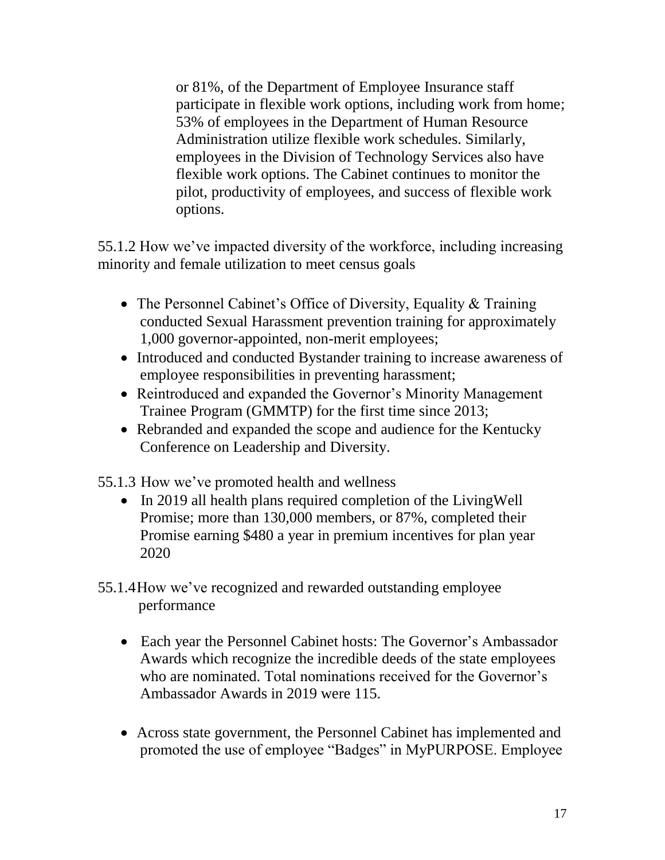or 81%, of the Department of Employee Insurance staff participate in flexible work options, including work from home; 53% of employees in the Department of Human Resource Administration utilize flexible work schedules. Similarly, employees in the Division of Technology Services also have flexible work options. The Cabinet continues to monitor the pilot, productivity of employees, and success of flexible work options.

55.1.2 How we've impacted diversity of the workforce, including increasing minority and female utilization to meet census goals

- The Personnel Cabinet's Office of Diversity, Equality & Training conducted Sexual Harassment prevention training for approximately 1,000 governor-appointed, non-merit employees;
- Introduced and conducted Bystander training to increase awareness of employee responsibilities in preventing harassment;
- Reintroduced and expanded the Governor's Minority Management Trainee Program (GMMTP) for the first time since 2013;
- Rebranded and expanded the scope and audience for the Kentucky Conference on Leadership and Diversity.

55.1.3 How we've promoted health and wellness

- In 2019 all health plans required completion of the LivingWell Promise; more than 130,000 members, or 87%, completed their Promise earning \$480 a year in premium incentives for plan year 2020
- 55.1.4How we've recognized and rewarded outstanding employee performance
	- Each year the Personnel Cabinet hosts: The Governor's Ambassador Awards which recognize the incredible deeds of the state employees who are nominated. Total nominations received for the Governor's Ambassador Awards in 2019 were 115.
	- Across state government, the Personnel Cabinet has implemented and promoted the use of employee "Badges" in MyPURPOSE. Employee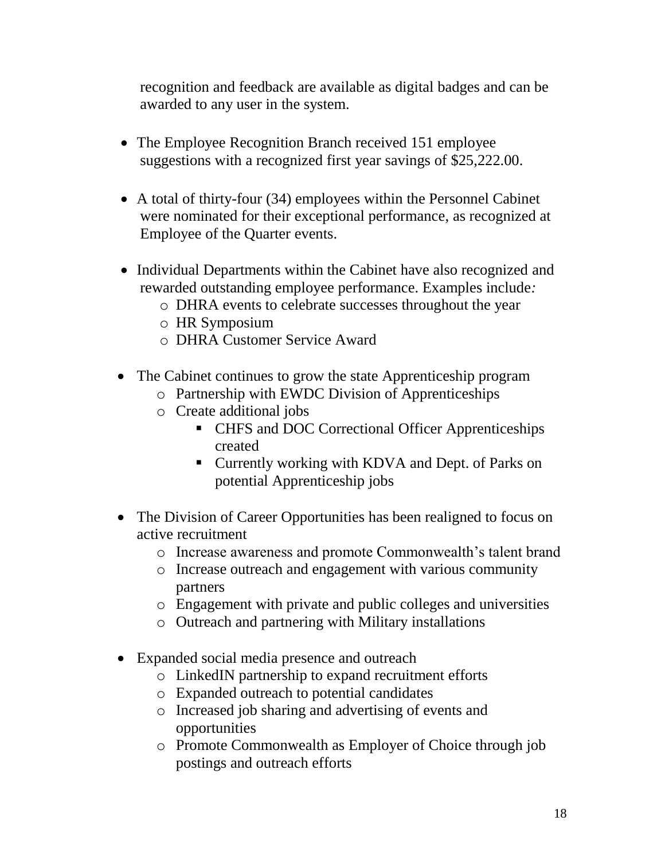recognition and feedback are available as digital badges and can be awarded to any user in the system.

- The Employee Recognition Branch received 151 employee suggestions with a recognized first year savings of \$25,222.00.
- A total of thirty-four (34) employees within the Personnel Cabinet were nominated for their exceptional performance, as recognized at Employee of the Quarter events.
- Individual Departments within the Cabinet have also recognized and rewarded outstanding employee performance. Examples include*:* 
	- o DHRA events to celebrate successes throughout the year
	- o HR Symposium
	- o DHRA Customer Service Award
- The Cabinet continues to grow the state Apprenticeship program
	- o Partnership with EWDC Division of Apprenticeships
	- o Create additional jobs
		- CHFS and DOC Correctional Officer Apprenticeships created
		- Currently working with KDVA and Dept. of Parks on potential Apprenticeship jobs
- The Division of Career Opportunities has been realigned to focus on active recruitment
	- o Increase awareness and promote Commonwealth's talent brand
	- o Increase outreach and engagement with various community partners
	- o Engagement with private and public colleges and universities
	- o Outreach and partnering with Military installations
- Expanded social media presence and outreach
	- o LinkedIN partnership to expand recruitment efforts
	- o Expanded outreach to potential candidates
	- o Increased job sharing and advertising of events and opportunities
	- o Promote Commonwealth as Employer of Choice through job postings and outreach efforts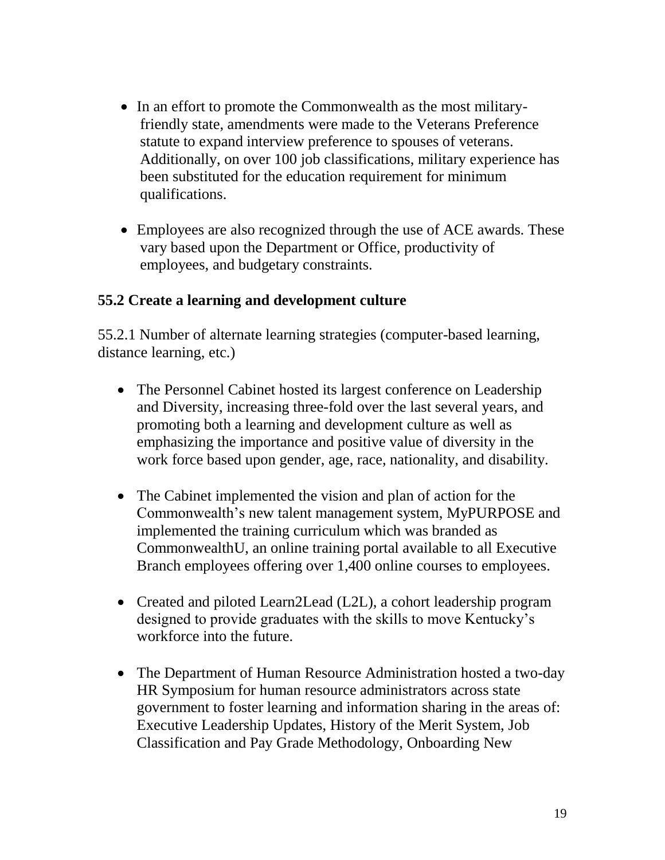- In an effort to promote the Commonwealth as the most militaryfriendly state, amendments were made to the Veterans Preference statute to expand interview preference to spouses of veterans. Additionally, on over 100 job classifications, military experience has been substituted for the education requirement for minimum qualifications.
- Employees are also recognized through the use of ACE awards. These vary based upon the Department or Office, productivity of employees, and budgetary constraints.

### **55.2 Create a learning and development culture**

55.2.1 Number of alternate learning strategies (computer-based learning, distance learning, etc.)

- The Personnel Cabinet hosted its largest conference on Leadership and Diversity, increasing three-fold over the last several years, and promoting both a learning and development culture as well as emphasizing the importance and positive value of diversity in the work force based upon gender, age, race, nationality, and disability.
- The Cabinet implemented the vision and plan of action for the Commonwealth's new talent management system, MyPURPOSE and implemented the training curriculum which was branded as CommonwealthU, an online training portal available to all Executive Branch employees offering over 1,400 online courses to employees.
- Created and piloted Learn2Lead (L2L), a cohort leadership program designed to provide graduates with the skills to move Kentucky's workforce into the future.
- The Department of Human Resource Administration hosted a two-day HR Symposium for human resource administrators across state government to foster learning and information sharing in the areas of: Executive Leadership Updates, History of the Merit System, Job Classification and Pay Grade Methodology, Onboarding New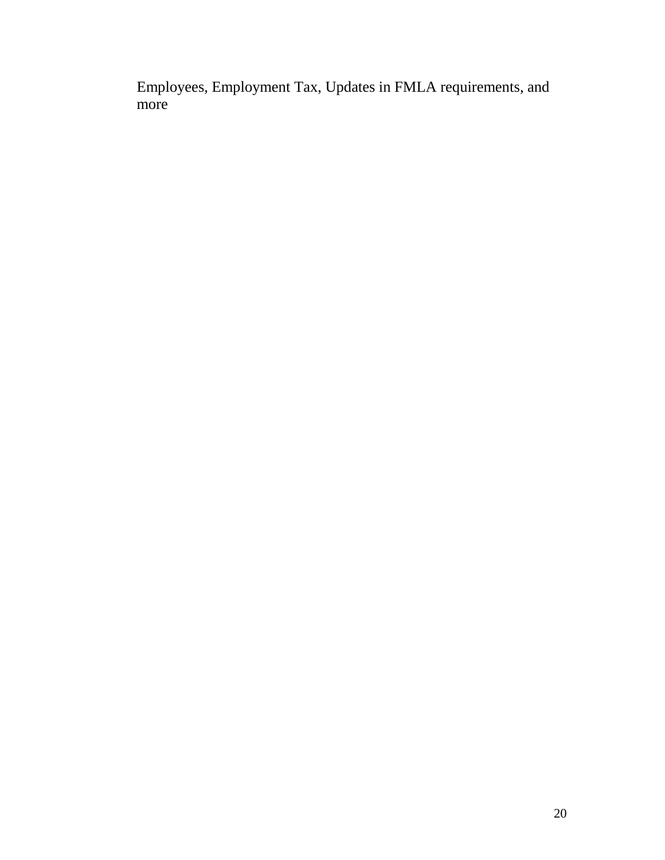Employees, Employment Tax, Updates in FMLA requirements, and more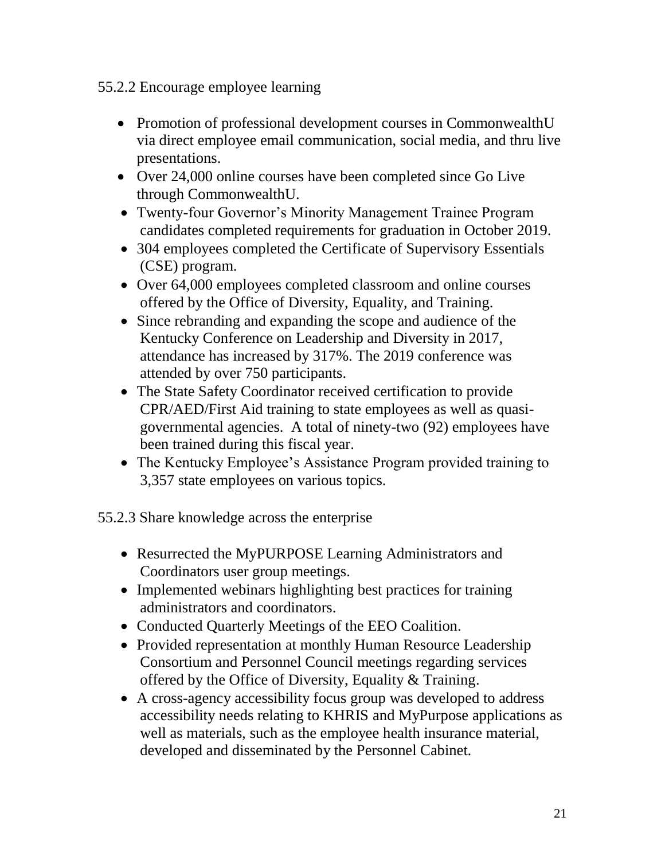#### 55.2.2 Encourage employee learning

- Promotion of professional development courses in CommonwealthU via direct employee email communication, social media, and thru live presentations.
- Over 24,000 online courses have been completed since Go Live through CommonwealthU.
- Twenty-four Governor's Minority Management Trainee Program candidates completed requirements for graduation in October 2019.
- 304 employees completed the Certificate of Supervisory Essentials (CSE) program.
- Over 64,000 employees completed classroom and online courses offered by the Office of Diversity, Equality, and Training.
- Since rebranding and expanding the scope and audience of the Kentucky Conference on Leadership and Diversity in 2017, attendance has increased by 317%. The 2019 conference was attended by over 750 participants.
- The State Safety Coordinator received certification to provide CPR/AED/First Aid training to state employees as well as quasigovernmental agencies. A total of ninety-two (92) employees have been trained during this fiscal year.
- The Kentucky Employee's Assistance Program provided training to 3,357 state employees on various topics.

55.2.3 Share knowledge across the enterprise

- Resurrected the MyPURPOSE Learning Administrators and Coordinators user group meetings.
- Implemented webinars highlighting best practices for training administrators and coordinators.
- Conducted Quarterly Meetings of the EEO Coalition.
- Provided representation at monthly Human Resource Leadership Consortium and Personnel Council meetings regarding services offered by the Office of Diversity, Equality & Training.
- A cross-agency accessibility focus group was developed to address accessibility needs relating to KHRIS and MyPurpose applications as well as materials, such as the employee health insurance material, developed and disseminated by the Personnel Cabinet.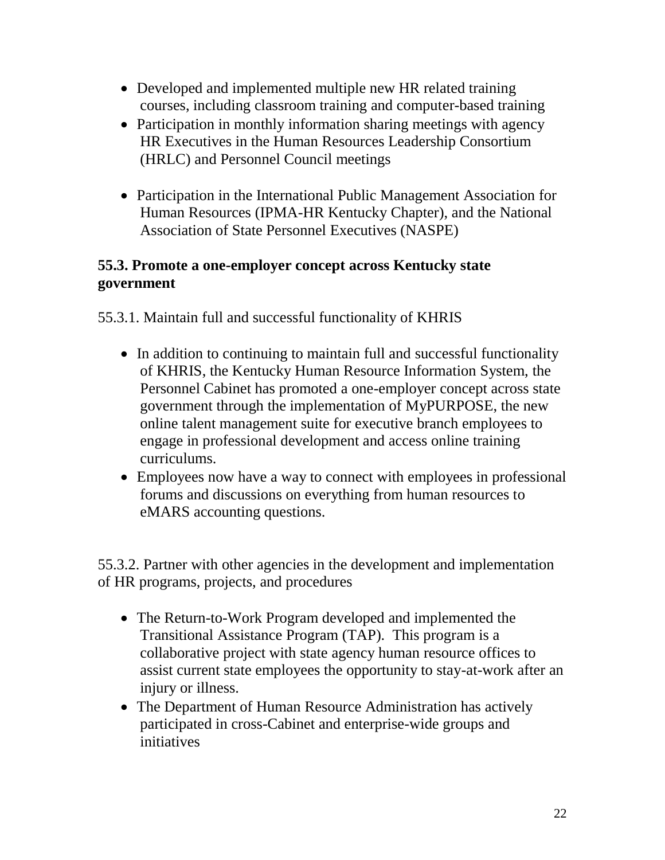- Developed and implemented multiple new HR related training courses, including classroom training and computer-based training
- Participation in monthly information sharing meetings with agency HR Executives in the Human Resources Leadership Consortium (HRLC) and Personnel Council meetings
- Participation in the International Public Management Association for Human Resources (IPMA-HR Kentucky Chapter), and the National Association of State Personnel Executives (NASPE)

### **55.3. Promote a one-employer concept across Kentucky state government**

55.3.1. Maintain full and successful functionality of KHRIS

- In addition to continuing to maintain full and successful functionality of KHRIS, the Kentucky Human Resource Information System, the Personnel Cabinet has promoted a one-employer concept across state government through the implementation of MyPURPOSE, the new online talent management suite for executive branch employees to engage in professional development and access online training curriculums.
- Employees now have a way to connect with employees in professional forums and discussions on everything from human resources to eMARS accounting questions.

55.3.2. Partner with other agencies in the development and implementation of HR programs, projects, and procedures

- The Return-to-Work Program developed and implemented the Transitional Assistance Program (TAP). This program is a collaborative project with state agency human resource offices to assist current state employees the opportunity to stay-at-work after an injury or illness.
- The Department of Human Resource Administration has actively participated in cross-Cabinet and enterprise-wide groups and initiatives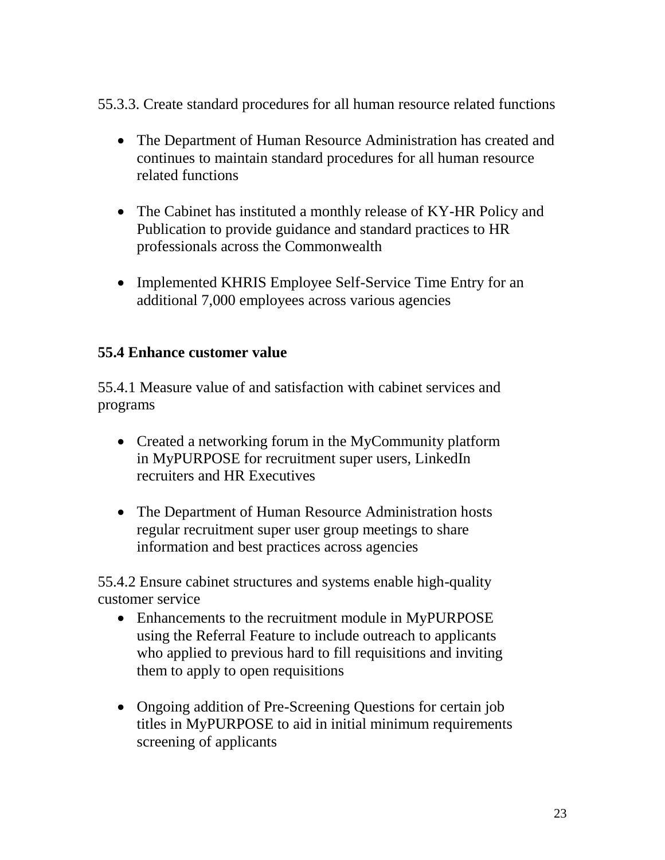55.3.3. Create standard procedures for all human resource related functions

- The Department of Human Resource Administration has created and continues to maintain standard procedures for all human resource related functions
- The Cabinet has instituted a monthly release of KY-HR Policy and Publication to provide guidance and standard practices to HR professionals across the Commonwealth
- Implemented KHRIS Employee Self-Service Time Entry for an additional 7,000 employees across various agencies

### **55.4 Enhance customer value**

55.4.1 Measure value of and satisfaction with cabinet services and programs

- Created a networking forum in the MyCommunity platform in MyPURPOSE for recruitment super users, LinkedIn recruiters and HR Executives
- The Department of Human Resource Administration hosts regular recruitment super user group meetings to share information and best practices across agencies

55.4.2 Ensure cabinet structures and systems enable high-quality customer service

- Enhancements to the recruitment module in MyPURPOSE using the Referral Feature to include outreach to applicants who applied to previous hard to fill requisitions and inviting them to apply to open requisitions
- Ongoing addition of Pre-Screening Questions for certain job titles in MyPURPOSE to aid in initial minimum requirements screening of applicants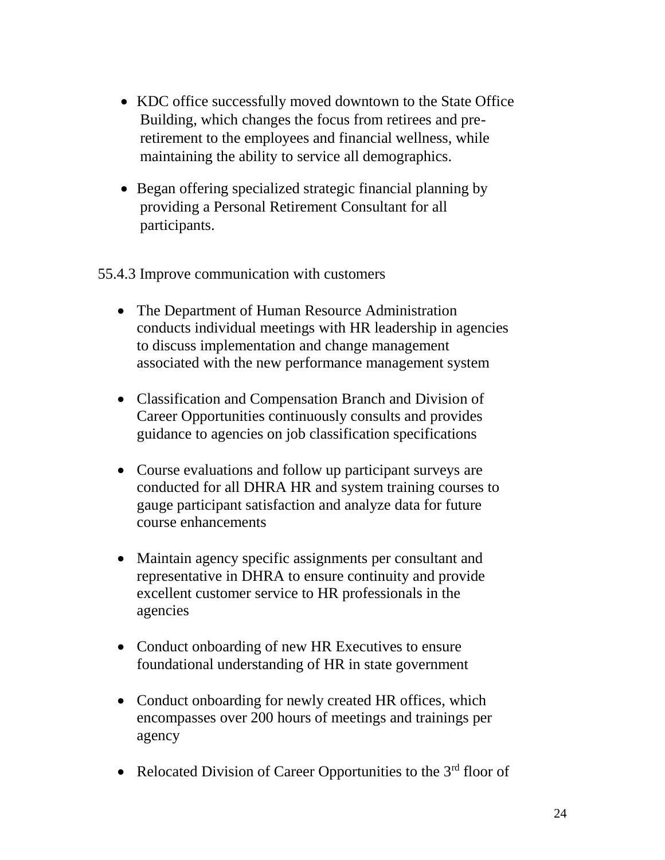- KDC office successfully moved downtown to the State Office Building, which changes the focus from retirees and preretirement to the employees and financial wellness, while maintaining the ability to service all demographics.
- Began offering specialized strategic financial planning by providing a Personal Retirement Consultant for all participants.

#### 55.4.3 Improve communication with customers

- The Department of Human Resource Administration conducts individual meetings with HR leadership in agencies to discuss implementation and change management associated with the new performance management system
- Classification and Compensation Branch and Division of Career Opportunities continuously consults and provides guidance to agencies on job classification specifications
- Course evaluations and follow up participant surveys are conducted for all DHRA HR and system training courses to gauge participant satisfaction and analyze data for future course enhancements
- Maintain agency specific assignments per consultant and representative in DHRA to ensure continuity and provide excellent customer service to HR professionals in the agencies
- Conduct onboarding of new HR Executives to ensure foundational understanding of HR in state government
- Conduct onboarding for newly created HR offices, which encompasses over 200 hours of meetings and trainings per agency
- Relocated Division of Career Opportunities to the  $3<sup>rd</sup>$  floor of